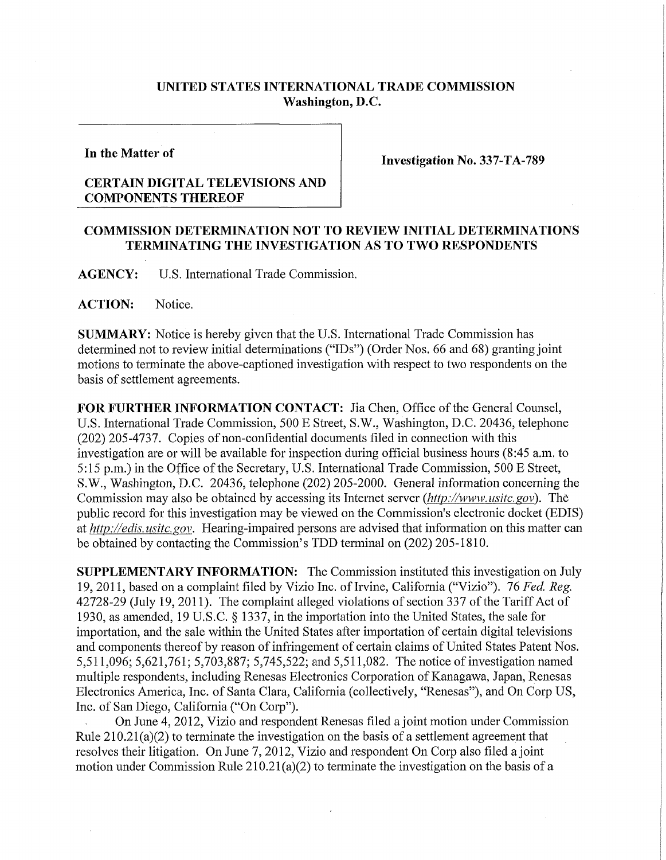## **UNITED STATES INTERNATIONAL TRADE COMMISSION Washington, D.C.**

**In the Matter of** 

**Investigation No. 337-TA-789** 

## **CERTAIN DIGITAL TELEVISIONS AND COMPONENTS THEREOF**

## **COMMISSION DETERMINATION NOT TO REVIEW INITIAL DETERMINATIONS TERMINATING THE INVESTIGATION AS TO TWO RESPONDENTS**

**AGENCY:** U**.S.** International Trade Commission.

**ACTION:** Notice.

**SUMMARY:** Notice is hereby given that the U.S. International Trade Commission has determined not to review initial determinations ("IDs") (Order Nos. 66 and 68) granting joint motions to terminate the above-captioned investigation with respect to two respondents on the basis of settlement agreements.

FOR FURTHER INFORMATION CONTACT: Jia Chen, Office of the General Counsel, U.S. International Trade Commission, 500 E Street, S.W., Washington, D.C. 20436, telephone (202) 205-4737. Copies of non-confidential documents filed in connection with this investigation are or will be available for inspection during official business hours (8:45 a.m. to 5:15 p.m.) in the Office of the Secretary, U.S. International Trade Commission, 500 E Street, S.W., Washington, D.C. 20436, telephone (202) 205-2000. General information concerning the Commission may also be obtained by accessing its Internet server *(http://www, usitc.gov).* The public record for this investigation may be viewed on the Commission's electronic docket (EDIS) at *http://edis. usitc. gov.* Hearing-impaired persons are advised that information on this matter can be obtained by contacting the Commission's TDD terminal on (202) 205-1810.

**SUPPLEMENTARY INFORMATION:** The Commission instituted this investigation on July 19, 2011, based on a complaint filed by Vizio Inc. of Irvine, Califomia ("Vizio"). 76 *Fed. Reg.*  42728-29 (July 19, 2011). The complaint alleged violations of section 337 of the Tariff Act of 1930, as amended, 19 U.S.C. § 1337, in the importation into the United States, the sale for importation, and the sale within the United States after importation of certain digital televisions and components thereof by reason of infringement of certain claims of United States Patent Nos. 5,511,096; 5,621,761; 5,703,887; 5,745,522; and 5,511,082. The notice of investigation named multiple respondents, including Renesas Electronics Corporation of Kanagawa, Japan, Renesas Electronics America, Inc. of Santa Clara, California (collectively, "Renesas"), and On Corp US, Inc. of San Diego, California ("On Corp").

On June 4, 2012, Vizio and respondent Renesas filed a joint motion under Commission Rule  $210.21(a)(2)$  to terminate the investigation on the basis of a settlement agreement that resolves their litigation. On June 7, 2012, Vizio and respondent On Corp also filed a joint motion under Commission Rule  $210.21(a)(2)$  to terminate the investigation on the basis of a